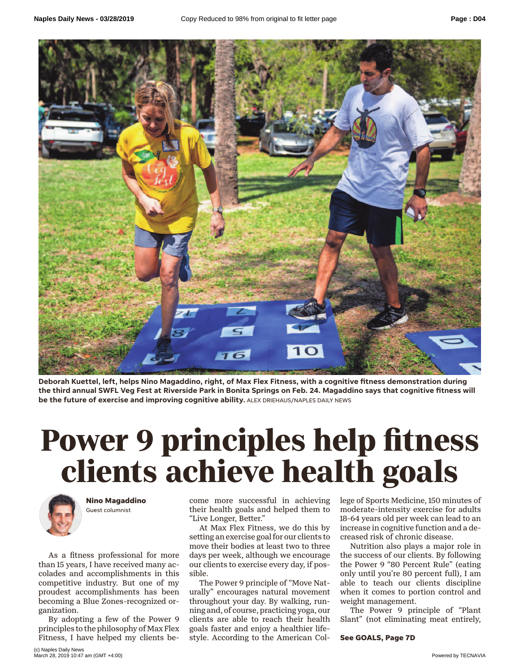

**Deborah Kuettel, left, helps Nino Magaddino, right, of Max Flex Fitness, with a cognitive fitness demonstration during the third annual SWFL Veg Fest at Riverside Park in Bonita Springs on Feb. 24. Magaddino says that cognitive fitness will be the future of exercise and improving cognitive ability.** ALEX DRIEHAUS/NAPLES DAILY NEWS

## **Power of the set of the set of the set of the set of the set of the set of the set of the set of the set of the set of the set of the set of the set of the set of the set of the set of the set of the set of the set of the klimary of the Magaddino**<br> **c**ome more successful in achieving lege of Sports Medicine, 150 minu<br>
Guest columnist their health goals and helped them to moderate-intensity exercise for



**Nino Magaddino** Guest columnist

As a fitness professional for more than 15 years, I have received many accolades and accomplishments in this competitive industry. But one of my proudest accomplishments has been becoming a Blue Zones-recognized organization.

By adopting a few of the Power 9 principles to the philosophy of Max Flex Fitness, I have helped my clients become more successful in achieving their health goals and helped them to "Live Longer, Better."

At Max Flex Fitness, we do this by setting an exercise goal for our clients to move their bodies at least two to three days per week, although we encourage our clients to exercise every day, if possible.

The Power 9 principle of "Move Naturally" encourages natural movement throughout your day. By walking, running and, of course, practicing yoga, our clients are able to reach their health goals faster and enjoy a healthier lifestyle. According to the American College of Sports Medicine, 150 minutes of moderate-intensity exercise for adults 18-64 years old per week can lead to an increase in cognitive function and a decreased risk of chronic disease.

Nutrition also plays a major role in the success of our clients. By following the Power 9 "80 Percent Rule" (eating only until you're 80 percent full), I am able to teach our clients discipline when it comes to portion control and weight management.

The Power 9 principle of "Plant Slant" (not eliminating meat entirely,

**See GOALS, Page 7D**